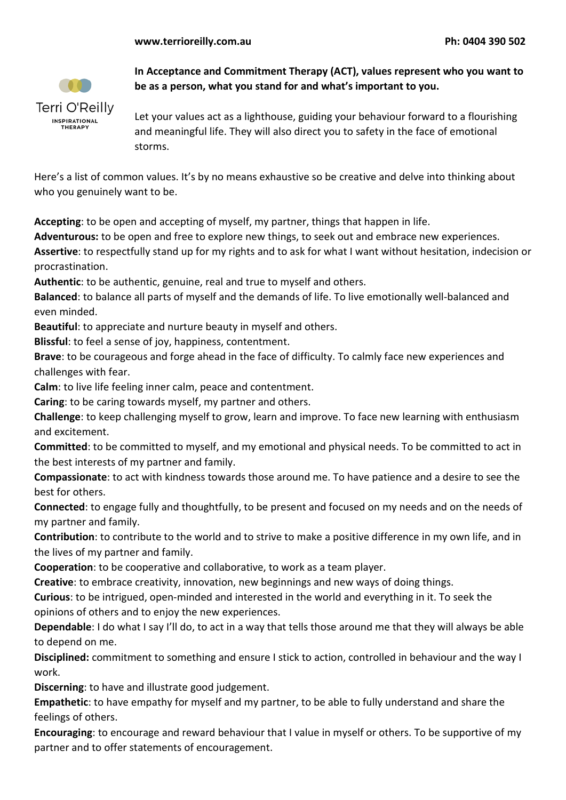

**In Acceptance and Commitment Therapy (ACT), values represent who you want to be as a person, what you stand for and what's important to you.** 

Let your values act as a lighthouse, guiding your behaviour forward to a flourishing and meaningful life. They will also direct you to safety in the face of emotional storms.

Here's a list of common values. It's by no means exhaustive so be creative and delve into thinking about who you genuinely want to be.

**Accepting**: to be open and accepting of myself, my partner, things that happen in life.

**Adventurous:** to be open and free to explore new things, to seek out and embrace new experiences.

**Assertive**: to respectfully stand up for my rights and to ask for what I want without hesitation, indecision or procrastination.

**Authentic**: to be authentic, genuine, real and true to myself and others.

**Balanced**: to balance all parts of myself and the demands of life. To live emotionally well-balanced and even minded.

**Beautiful**: to appreciate and nurture beauty in myself and others.

**Blissful**: to feel a sense of joy, happiness, contentment.

**Brave**: to be courageous and forge ahead in the face of difficulty. To calmly face new experiences and challenges with fear.

**Calm**: to live life feeling inner calm, peace and contentment.

**Caring**: to be caring towards myself, my partner and others.

**Challenge**: to keep challenging myself to grow, learn and improve. To face new learning with enthusiasm and excitement.

**Committed**: to be committed to myself, and my emotional and physical needs. To be committed to act in the best interests of my partner and family.

**Compassionate**: to act with kindness towards those around me. To have patience and a desire to see the best for others.

**Connected**: to engage fully and thoughtfully, to be present and focused on my needs and on the needs of my partner and family.

**Contribution**: to contribute to the world and to strive to make a positive difference in my own life, and in the lives of my partner and family.

**Cooperation**: to be cooperative and collaborative, to work as a team player.

**Creative**: to embrace creativity, innovation, new beginnings and new ways of doing things.

**Curious**: to be intrigued, open-minded and interested in the world and everything in it. To seek the opinions of others and to enjoy the new experiences.

**Dependable**: I do what I say I'll do, to act in a way that tells those around me that they will always be able to depend on me.

**Disciplined:** commitment to something and ensure I stick to action, controlled in behaviour and the way I work.

**Discerning**: to have and illustrate good judgement.

**Empathetic**: to have empathy for myself and my partner, to be able to fully understand and share the feelings of others.

**Encouraging**: to encourage and reward behaviour that I value in myself or others. To be supportive of my partner and to offer statements of encouragement.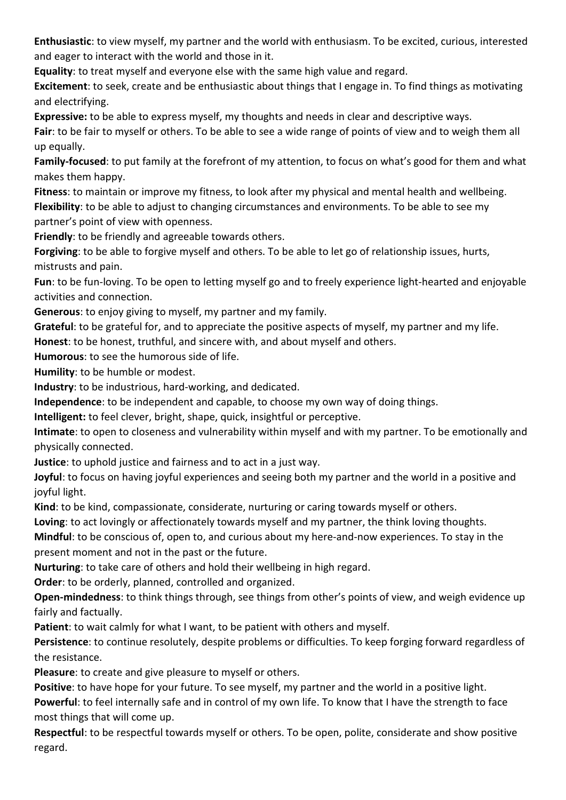**Enthusiastic**: to view myself, my partner and the world with enthusiasm. To be excited, curious, interested and eager to interact with the world and those in it.

**Equality**: to treat myself and everyone else with the same high value and regard.

**Excitement**: to seek, create and be enthusiastic about things that I engage in. To find things as motivating and electrifying.

**Expressive:** to be able to express myself, my thoughts and needs in clear and descriptive ways.

**Fair**: to be fair to myself or others. To be able to see a wide range of points of view and to weigh them all up equally.

**Family-focused**: to put family at the forefront of my attention, to focus on what's good for them and what makes them happy.

**Fitness**: to maintain or improve my fitness, to look after my physical and mental health and wellbeing. **Flexibility**: to be able to adjust to changing circumstances and environments. To be able to see my partner's point of view with openness.

**Friendly**: to be friendly and agreeable towards others.

**Forgiving**: to be able to forgive myself and others. To be able to let go of relationship issues, hurts, mistrusts and pain.

**Fun**: to be fun-loving. To be open to letting myself go and to freely experience light-hearted and enjoyable activities and connection.

**Generous**: to enjoy giving to myself, my partner and my family.

**Grateful**: to be grateful for, and to appreciate the positive aspects of myself, my partner and my life.

**Honest**: to be honest, truthful, and sincere with, and about myself and others.

**Humorous**: to see the humorous side of life.

**Humility**: to be humble or modest.

**Industry**: to be industrious, hard-working, and dedicated.

**Independence**: to be independent and capable, to choose my own way of doing things.

**Intelligent:** to feel clever, bright, shape, quick, insightful or perceptive.

**Intimate**: to open to closeness and vulnerability within myself and with my partner. To be emotionally and physically connected.

**Justice**: to uphold justice and fairness and to act in a just way.

**Joyful**: to focus on having joyful experiences and seeing both my partner and the world in a positive and joyful light.

**Kind**: to be kind, compassionate, considerate, nurturing or caring towards myself or others.

**Loving**: to act lovingly or affectionately towards myself and my partner, the think loving thoughts.

**Mindful**: to be conscious of, open to, and curious about my here-and-now experiences. To stay in the present moment and not in the past or the future.

**Nurturing**: to take care of others and hold their wellbeing in high regard.

**Order**: to be orderly, planned, controlled and organized.

**Open-mindedness**: to think things through, see things from other's points of view, and weigh evidence up fairly and factually.

**Patient**: to wait calmly for what I want, to be patient with others and myself.

**Persistence**: to continue resolutely, despite problems or difficulties. To keep forging forward regardless of the resistance.

**Pleasure**: to create and give pleasure to myself or others.

**Positive**: to have hope for your future. To see myself, my partner and the world in a positive light.

**Powerful**: to feel internally safe and in control of my own life. To know that I have the strength to face most things that will come up.

**Respectful**: to be respectful towards myself or others. To be open, polite, considerate and show positive regard.